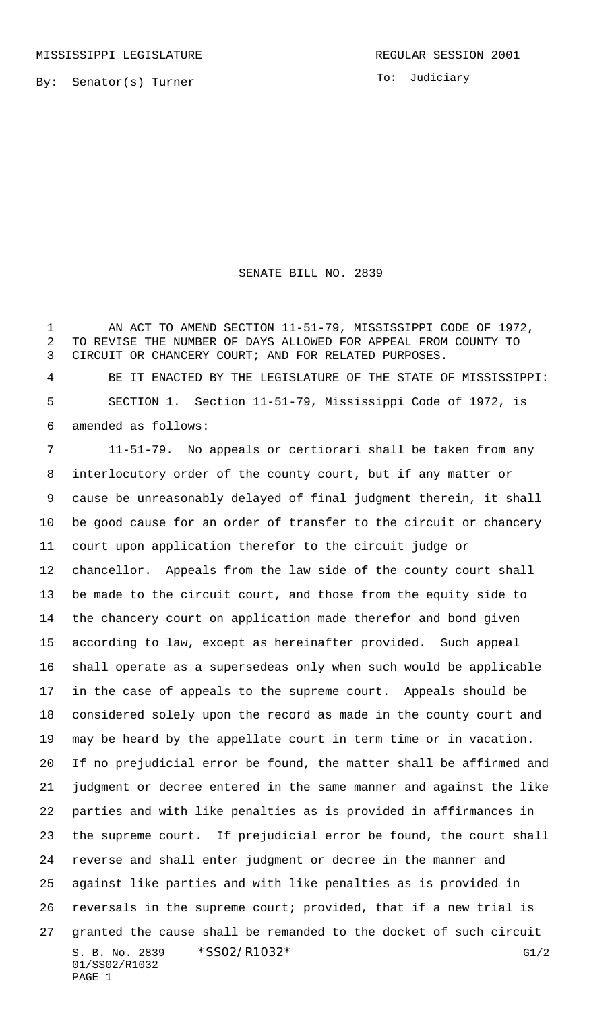To: Judiciary

## SENATE BILL NO. 2839

 AN ACT TO AMEND SECTION 11-51-79, MISSISSIPPI CODE OF 1972, TO REVISE THE NUMBER OF DAYS ALLOWED FOR APPEAL FROM COUNTY TO CIRCUIT OR CHANCERY COURT; AND FOR RELATED PURPOSES.

 BE IT ENACTED BY THE LEGISLATURE OF THE STATE OF MISSISSIPPI: SECTION 1. Section 11-51-79, Mississippi Code of 1972, is amended as follows:

S. B. No. 2839 \* SSO2/R1032 \* G1/2 01/SS02/R1032 PAGE 1 11-51-79. No appeals or certiorari shall be taken from any interlocutory order of the county court, but if any matter or cause be unreasonably delayed of final judgment therein, it shall be good cause for an order of transfer to the circuit or chancery court upon application therefor to the circuit judge or chancellor. Appeals from the law side of the county court shall be made to the circuit court, and those from the equity side to the chancery court on application made therefor and bond given according to law, except as hereinafter provided. Such appeal shall operate as a supersedeas only when such would be applicable in the case of appeals to the supreme court. Appeals should be considered solely upon the record as made in the county court and may be heard by the appellate court in term time or in vacation. If no prejudicial error be found, the matter shall be affirmed and judgment or decree entered in the same manner and against the like parties and with like penalties as is provided in affirmances in the supreme court. If prejudicial error be found, the court shall reverse and shall enter judgment or decree in the manner and against like parties and with like penalties as is provided in reversals in the supreme court; provided, that if a new trial is granted the cause shall be remanded to the docket of such circuit